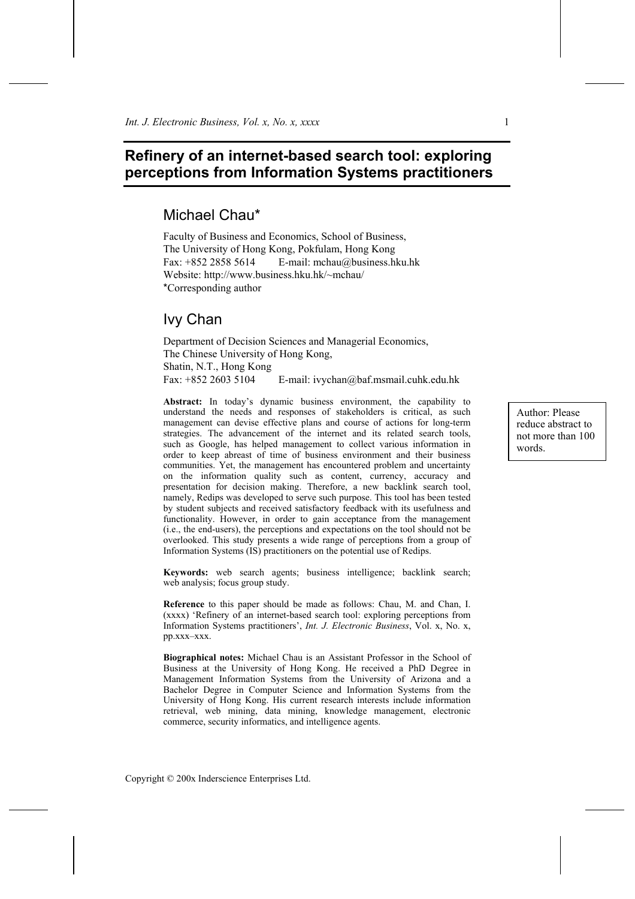# **Refinery of an internet-based search tool: exploring perceptions from Information Systems practitioners**

## Michael Chau\*

Faculty of Business and Economics, School of Business, The University of Hong Kong, Pokfulam, Hong Kong Fax: +852 2858 5614 E-mail: mchau@business.hku.hk Website: http://www.business.hku.hk/~mchau/ \*Corresponding author

## Ivy Chan

Department of Decision Sciences and Managerial Economics, The Chinese University of Hong Kong, Shatin, N.T., Hong Kong Fax: +852 2603 5104 E-mail: ivychan@baf.msmail.cuhk.edu.hk

**Abstract:** In today's dynamic business environment, the capability to understand the needs and responses of stakeholders is critical, as such management can devise effective plans and course of actions for long-term strategies. The advancement of the internet and its related search tools, such as Google, has helped management to collect various information in order to keep abreast of time of business environment and their business communities. Yet, the management has encountered problem and uncertainty on the information quality such as content, currency, accuracy and presentation for decision making. Therefore, a new backlink search tool, namely, Redips was developed to serve such purpose. This tool has been tested by student subjects and received satisfactory feedback with its usefulness and functionality. However, in order to gain acceptance from the management (i.e., the end-users), the perceptions and expectations on the tool should not be overlooked. This study presents a wide range of perceptions from a group of Information Systems (IS) practitioners on the potential use of Redips.

**Keywords:** web search agents; business intelligence; backlink search; web analysis; focus group study.

**Reference** to this paper should be made as follows: Chau, M. and Chan, I. (xxxx) 'Refinery of an internet-based search tool: exploring perceptions from Information Systems practitioners', *Int. J. Electronic Business*, Vol. x, No. x, pp.xxx–xxx.

**Biographical notes:** Michael Chau is an Assistant Professor in the School of Business at the University of Hong Kong. He received a PhD Degree in Management Information Systems from the University of Arizona and a Bachelor Degree in Computer Science and Information Systems from the University of Hong Kong. His current research interests include information retrieval, web mining, data mining, knowledge management, electronic commerce, security informatics, and intelligence agents.

Author: Please reduce abstract to not more than 100 words.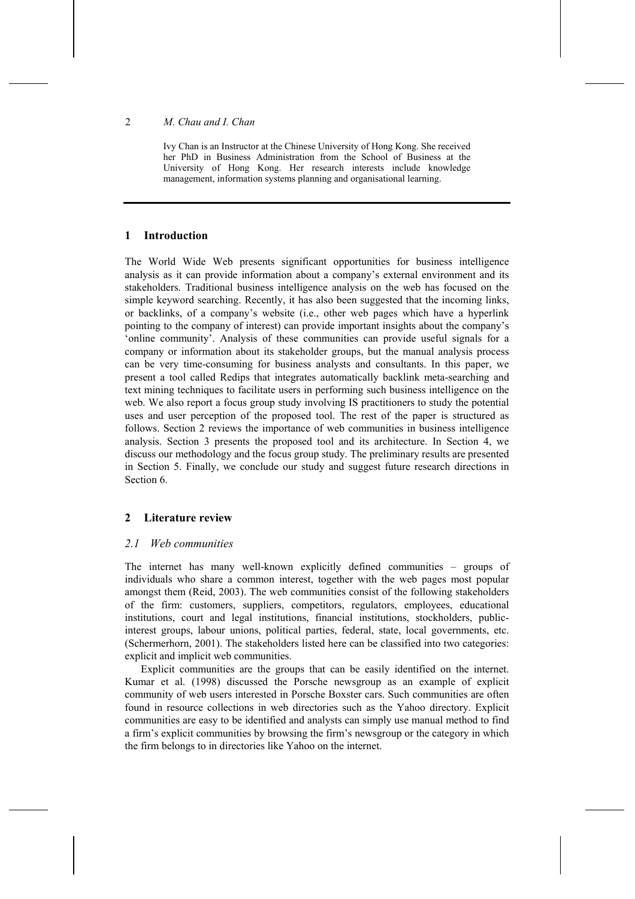Ivy Chan is an Instructor at the Chinese University of Hong Kong. She received her PhD in Business Administration from the School of Business at the University of Hong Kong. Her research interests include knowledge management, information systems planning and organisational learning.

#### **1 Introduction**

The World Wide Web presents significant opportunities for business intelligence analysis as it can provide information about a company's external environment and its stakeholders. Traditional business intelligence analysis on the web has focused on the simple keyword searching. Recently, it has also been suggested that the incoming links, or backlinks, of a company's website (i.e., other web pages which have a hyperlink pointing to the company of interest) can provide important insights about the company's 'online community'. Analysis of these communities can provide useful signals for a company or information about its stakeholder groups, but the manual analysis process can be very time-consuming for business analysts and consultants. In this paper, we present a tool called Redips that integrates automatically backlink meta-searching and text mining techniques to facilitate users in performing such business intelligence on the web. We also report a focus group study involving IS practitioners to study the potential uses and user perception of the proposed tool. The rest of the paper is structured as follows. Section 2 reviews the importance of web communities in business intelligence analysis. Section 3 presents the proposed tool and its architecture. In Section 4, we discuss our methodology and the focus group study. The preliminary results are presented in Section 5. Finally, we conclude our study and suggest future research directions in Section 6.

## **2 Literature review**

## *2.1 Web communities*

The internet has many well-known explicitly defined communities – groups of individuals who share a common interest, together with the web pages most popular amongst them (Reid, 2003). The web communities consist of the following stakeholders of the firm: customers, suppliers, competitors, regulators, employees, educational institutions, court and legal institutions, financial institutions, stockholders, publicinterest groups, labour unions, political parties, federal, state, local governments, etc. (Schermerhorn, 2001). The stakeholders listed here can be classified into two categories: explicit and implicit web communities.

Explicit communities are the groups that can be easily identified on the internet. Kumar et al. (1998) discussed the Porsche newsgroup as an example of explicit community of web users interested in Porsche Boxster cars. Such communities are often found in resource collections in web directories such as the Yahoo directory. Explicit communities are easy to be identified and analysts can simply use manual method to find a firm's explicit communities by browsing the firm's newsgroup or the category in which the firm belongs to in directories like Yahoo on the internet.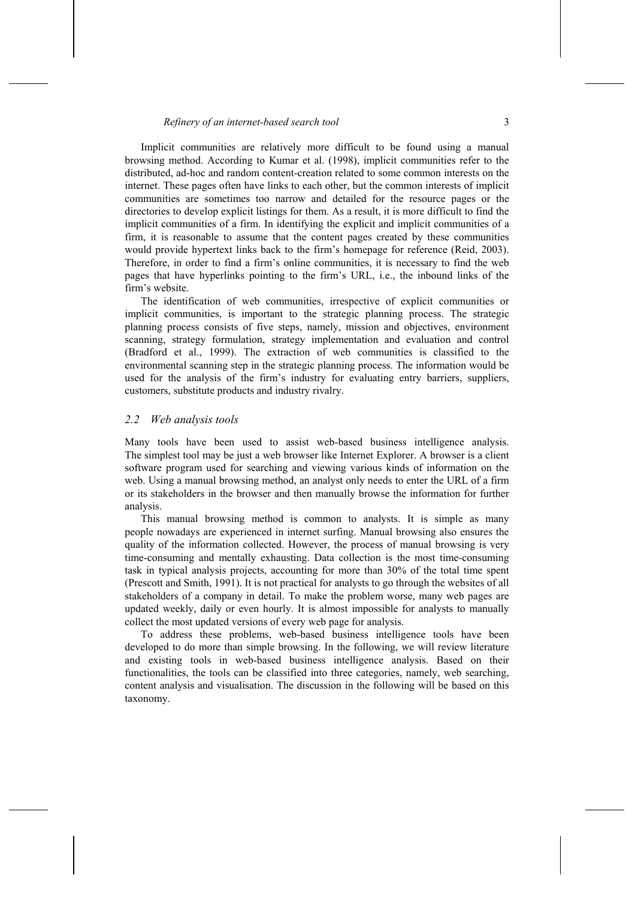#### *Refinery of an internet-based search tool* 3

Implicit communities are relatively more difficult to be found using a manual browsing method. According to Kumar et al. (1998), implicit communities refer to the distributed, ad-hoc and random content-creation related to some common interests on the internet. These pages often have links to each other, but the common interests of implicit communities are sometimes too narrow and detailed for the resource pages or the directories to develop explicit listings for them. As a result, it is more difficult to find the implicit communities of a firm. In identifying the explicit and implicit communities of a firm, it is reasonable to assume that the content pages created by these communities would provide hypertext links back to the firm's homepage for reference (Reid, 2003). Therefore, in order to find a firm's online communities, it is necessary to find the web pages that have hyperlinks pointing to the firm's URL, i.e., the inbound links of the firm's website.

The identification of web communities, irrespective of explicit communities or implicit communities, is important to the strategic planning process. The strategic planning process consists of five steps, namely, mission and objectives, environment scanning, strategy formulation, strategy implementation and evaluation and control (Bradford et al., 1999). The extraction of web communities is classified to the environmental scanning step in the strategic planning process. The information would be used for the analysis of the firm's industry for evaluating entry barriers, suppliers, customers, substitute products and industry rivalry.

### *2.2 Web analysis tools*

Many tools have been used to assist web-based business intelligence analysis. The simplest tool may be just a web browser like Internet Explorer. A browser is a client software program used for searching and viewing various kinds of information on the web. Using a manual browsing method, an analyst only needs to enter the URL of a firm or its stakeholders in the browser and then manually browse the information for further analysis.

This manual browsing method is common to analysts. It is simple as many people nowadays are experienced in internet surfing. Manual browsing also ensures the quality of the information collected. However, the process of manual browsing is very time-consuming and mentally exhausting. Data collection is the most time-consuming task in typical analysis projects, accounting for more than 30% of the total time spent (Prescott and Smith, 1991). It is not practical for analysts to go through the websites of all stakeholders of a company in detail. To make the problem worse, many web pages are updated weekly, daily or even hourly. It is almost impossible for analysts to manually collect the most updated versions of every web page for analysis.

To address these problems, web-based business intelligence tools have been developed to do more than simple browsing. In the following, we will review literature and existing tools in web-based business intelligence analysis. Based on their functionalities, the tools can be classified into three categories, namely, web searching, content analysis and visualisation. The discussion in the following will be based on this taxonomy.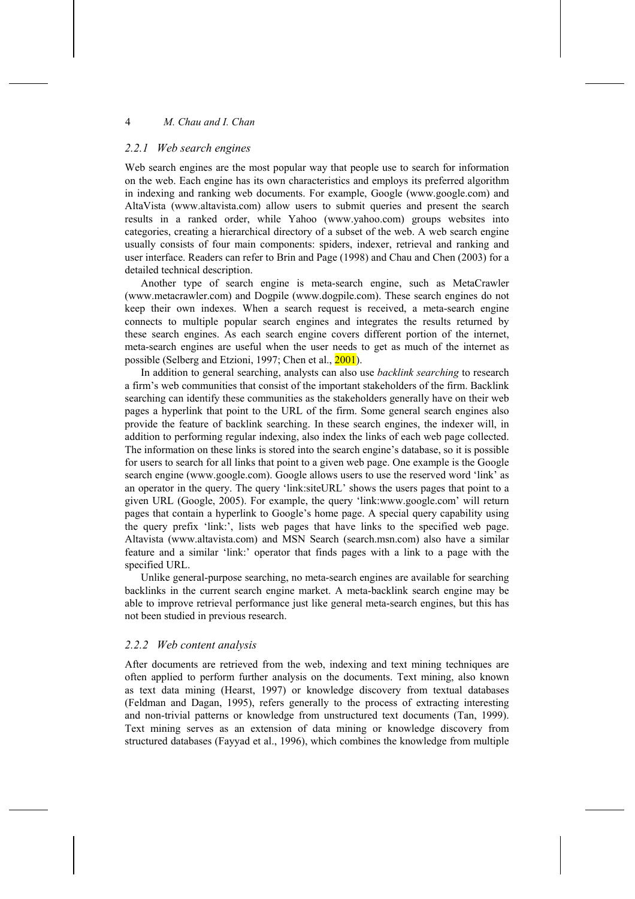#### *2.2.1 Web search engines*

Web search engines are the most popular way that people use to search for information on the web. Each engine has its own characteristics and employs its preferred algorithm in indexing and ranking web documents. For example, Google (www.google.com) and AltaVista (www.altavista.com) allow users to submit queries and present the search results in a ranked order, while Yahoo (www.yahoo.com) groups websites into categories, creating a hierarchical directory of a subset of the web. A web search engine usually consists of four main components: spiders, indexer, retrieval and ranking and user interface. Readers can refer to Brin and Page (1998) and Chau and Chen (2003) for a detailed technical description.

Another type of search engine is meta-search engine, such as MetaCrawler (www.metacrawler.com) and Dogpile (www.dogpile.com). These search engines do not keep their own indexes. When a search request is received, a meta-search engine connects to multiple popular search engines and integrates the results returned by these search engines. As each search engine covers different portion of the internet, meta-search engines are useful when the user needs to get as much of the internet as possible (Selberg and Etzioni, 1997; Chen et al., 2001).

In addition to general searching, analysts can also use *backlink searching* to research a firm's web communities that consist of the important stakeholders of the firm. Backlink searching can identify these communities as the stakeholders generally have on their web pages a hyperlink that point to the URL of the firm. Some general search engines also provide the feature of backlink searching. In these search engines, the indexer will, in addition to performing regular indexing, also index the links of each web page collected. The information on these links is stored into the search engine's database, so it is possible for users to search for all links that point to a given web page. One example is the Google search engine (www.google.com). Google allows users to use the reserved word 'link' as an operator in the query. The query 'link:siteURL' shows the users pages that point to a given URL (Google, 2005). For example, the query 'link:www.google.com' will return pages that contain a hyperlink to Google's home page. A special query capability using the query prefix 'link:', lists web pages that have links to the specified web page. Altavista (www.altavista.com) and MSN Search (search.msn.com) also have a similar feature and a similar 'link:' operator that finds pages with a link to a page with the specified URL.

Unlike general-purpose searching, no meta-search engines are available for searching backlinks in the current search engine market. A meta-backlink search engine may be able to improve retrieval performance just like general meta-search engines, but this has not been studied in previous research.

#### *2.2.2 Web content analysis*

After documents are retrieved from the web, indexing and text mining techniques are often applied to perform further analysis on the documents. Text mining, also known as text data mining (Hearst, 1997) or knowledge discovery from textual databases (Feldman and Dagan, 1995), refers generally to the process of extracting interesting and non-trivial patterns or knowledge from unstructured text documents (Tan, 1999). Text mining serves as an extension of data mining or knowledge discovery from structured databases (Fayyad et al., 1996), which combines the knowledge from multiple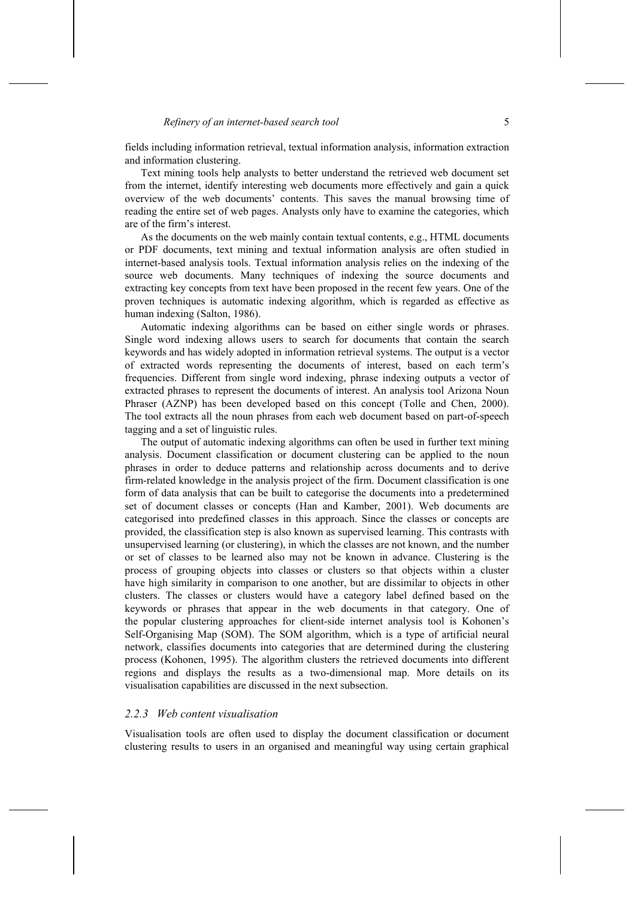#### *Refinery of an internet-based search tool* 5

fields including information retrieval, textual information analysis, information extraction and information clustering.

Text mining tools help analysts to better understand the retrieved web document set from the internet, identify interesting web documents more effectively and gain a quick overview of the web documents' contents. This saves the manual browsing time of reading the entire set of web pages. Analysts only have to examine the categories, which are of the firm's interest.

As the documents on the web mainly contain textual contents, e.g., HTML documents or PDF documents, text mining and textual information analysis are often studied in internet-based analysis tools. Textual information analysis relies on the indexing of the source web documents. Many techniques of indexing the source documents and extracting key concepts from text have been proposed in the recent few years. One of the proven techniques is automatic indexing algorithm, which is regarded as effective as human indexing (Salton, 1986).

Automatic indexing algorithms can be based on either single words or phrases. Single word indexing allows users to search for documents that contain the search keywords and has widely adopted in information retrieval systems. The output is a vector of extracted words representing the documents of interest, based on each term's frequencies. Different from single word indexing, phrase indexing outputs a vector of extracted phrases to represent the documents of interest. An analysis tool Arizona Noun Phraser (AZNP) has been developed based on this concept (Tolle and Chen, 2000). The tool extracts all the noun phrases from each web document based on part-of-speech tagging and a set of linguistic rules.

The output of automatic indexing algorithms can often be used in further text mining analysis. Document classification or document clustering can be applied to the noun phrases in order to deduce patterns and relationship across documents and to derive firm-related knowledge in the analysis project of the firm. Document classification is one form of data analysis that can be built to categorise the documents into a predetermined set of document classes or concepts (Han and Kamber, 2001). Web documents are categorised into predefined classes in this approach. Since the classes or concepts are provided, the classification step is also known as supervised learning. This contrasts with unsupervised learning (or clustering), in which the classes are not known, and the number or set of classes to be learned also may not be known in advance. Clustering is the process of grouping objects into classes or clusters so that objects within a cluster have high similarity in comparison to one another, but are dissimilar to objects in other clusters. The classes or clusters would have a category label defined based on the keywords or phrases that appear in the web documents in that category. One of the popular clustering approaches for client-side internet analysis tool is Kohonen's Self-Organising Map (SOM). The SOM algorithm, which is a type of artificial neural network, classifies documents into categories that are determined during the clustering process (Kohonen, 1995). The algorithm clusters the retrieved documents into different regions and displays the results as a two-dimensional map. More details on its visualisation capabilities are discussed in the next subsection.

#### *2.2.3 Web content visualisation*

Visualisation tools are often used to display the document classification or document clustering results to users in an organised and meaningful way using certain graphical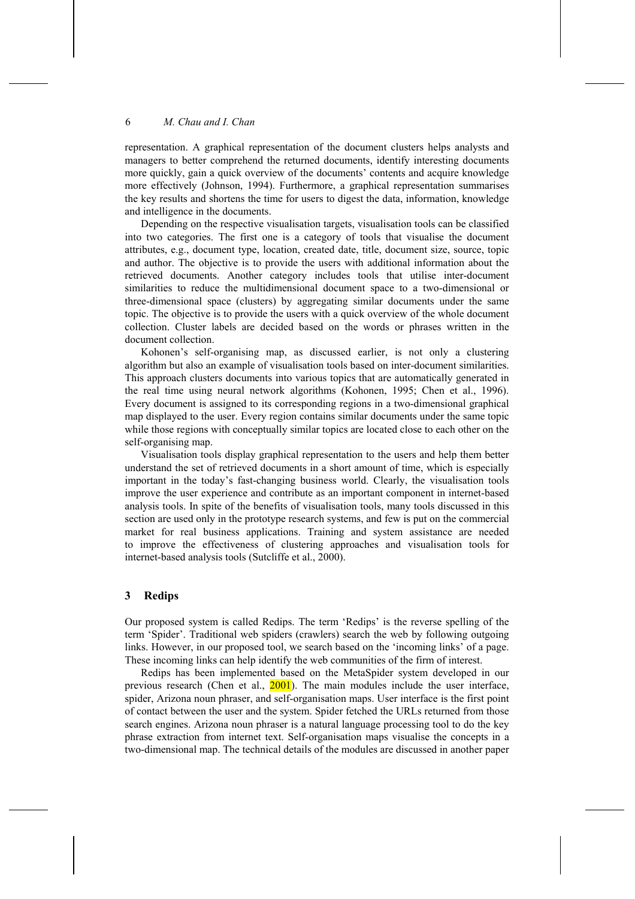representation. A graphical representation of the document clusters helps analysts and managers to better comprehend the returned documents, identify interesting documents more quickly, gain a quick overview of the documents' contents and acquire knowledge more effectively (Johnson, 1994). Furthermore, a graphical representation summarises the key results and shortens the time for users to digest the data, information, knowledge and intelligence in the documents.

Depending on the respective visualisation targets, visualisation tools can be classified into two categories. The first one is a category of tools that visualise the document attributes, e.g., document type, location, created date, title, document size, source, topic and author. The objective is to provide the users with additional information about the retrieved documents. Another category includes tools that utilise inter-document similarities to reduce the multidimensional document space to a two-dimensional or three-dimensional space (clusters) by aggregating similar documents under the same topic. The objective is to provide the users with a quick overview of the whole document collection. Cluster labels are decided based on the words or phrases written in the document collection.

Kohonen's self-organising map, as discussed earlier, is not only a clustering algorithm but also an example of visualisation tools based on inter-document similarities. This approach clusters documents into various topics that are automatically generated in the real time using neural network algorithms (Kohonen, 1995; Chen et al., 1996). Every document is assigned to its corresponding regions in a two-dimensional graphical map displayed to the user. Every region contains similar documents under the same topic while those regions with conceptually similar topics are located close to each other on the self-organising map.

Visualisation tools display graphical representation to the users and help them better understand the set of retrieved documents in a short amount of time, which is especially important in the today's fast-changing business world. Clearly, the visualisation tools improve the user experience and contribute as an important component in internet-based analysis tools. In spite of the benefits of visualisation tools, many tools discussed in this section are used only in the prototype research systems, and few is put on the commercial market for real business applications. Training and system assistance are needed to improve the effectiveness of clustering approaches and visualisation tools for internet-based analysis tools (Sutcliffe et al., 2000).

### **3 Redips**

Our proposed system is called Redips. The term 'Redips' is the reverse spelling of the term 'Spider'. Traditional web spiders (crawlers) search the web by following outgoing links. However, in our proposed tool, we search based on the 'incoming links' of a page. These incoming links can help identify the web communities of the firm of interest.

Redips has been implemented based on the MetaSpider system developed in our previous research (Chen et al.,  $2001$ ). The main modules include the user interface, spider, Arizona noun phraser, and self-organisation maps. User interface is the first point of contact between the user and the system. Spider fetched the URLs returned from those search engines. Arizona noun phraser is a natural language processing tool to do the key phrase extraction from internet text. Self-organisation maps visualise the concepts in a two-dimensional map. The technical details of the modules are discussed in another paper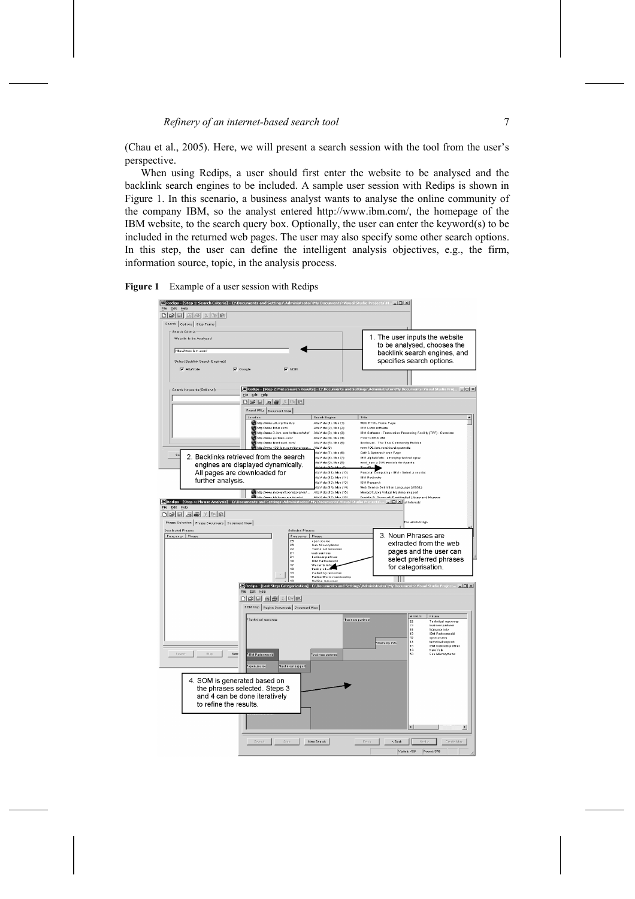(Chau et al., 2005). Here, we will present a search session with the tool from the user's perspective.

When using Redips, a user should first enter the website to be analysed and the backlink search engines to be included. A sample user session with Redips is shown in Figure 1. In this scenario, a business analyst wants to analyse the online community of the company IBM, so the analyst entered http://www.ibm.com/, the homepage of the IBM website, to the search query box. Optionally, the user can enter the keyword(s) to be included in the returned web pages. The user may also specify some other search options. In this step, the user can define the intelligent analysis objectives, e.g., the firm, information source, topic, in the analysis process.

**Figure 1** Example of a user session with Redips

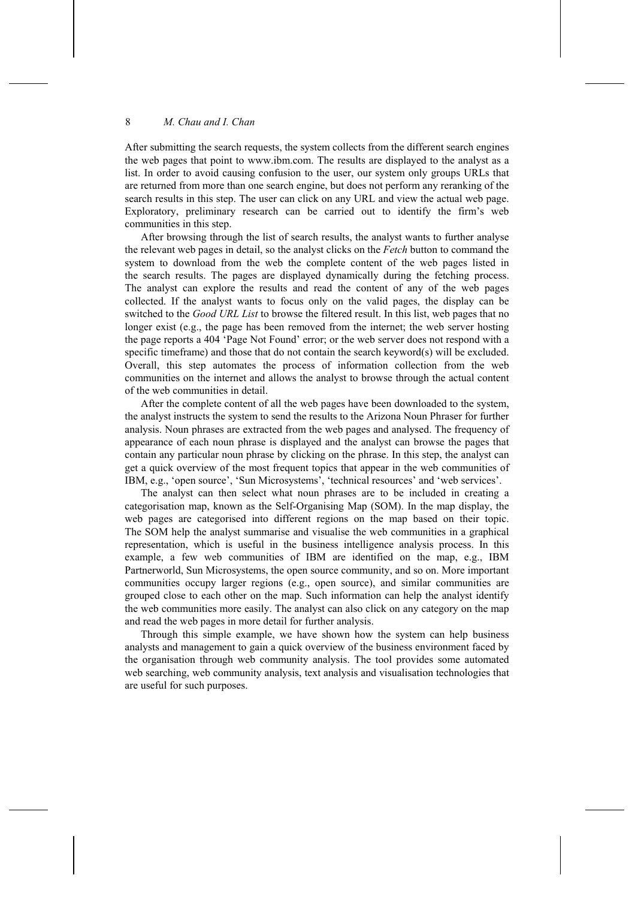After submitting the search requests, the system collects from the different search engines the web pages that point to www.ibm.com. The results are displayed to the analyst as a list. In order to avoid causing confusion to the user, our system only groups URLs that are returned from more than one search engine, but does not perform any reranking of the search results in this step. The user can click on any URL and view the actual web page. Exploratory, preliminary research can be carried out to identify the firm's web communities in this step.

After browsing through the list of search results, the analyst wants to further analyse the relevant web pages in detail, so the analyst clicks on the *Fetch* button to command the system to download from the web the complete content of the web pages listed in the search results. The pages are displayed dynamically during the fetching process. The analyst can explore the results and read the content of any of the web pages collected. If the analyst wants to focus only on the valid pages, the display can be switched to the *Good URL List* to browse the filtered result. In this list, web pages that no longer exist (e.g., the page has been removed from the internet; the web server hosting the page reports a 404 'Page Not Found' error; or the web server does not respond with a specific timeframe) and those that do not contain the search keyword(s) will be excluded. Overall, this step automates the process of information collection from the web communities on the internet and allows the analyst to browse through the actual content of the web communities in detail.

After the complete content of all the web pages have been downloaded to the system, the analyst instructs the system to send the results to the Arizona Noun Phraser for further analysis. Noun phrases are extracted from the web pages and analysed. The frequency of appearance of each noun phrase is displayed and the analyst can browse the pages that contain any particular noun phrase by clicking on the phrase. In this step, the analyst can get a quick overview of the most frequent topics that appear in the web communities of IBM, e.g., 'open source', 'Sun Microsystems', 'technical resources' and 'web services'.

The analyst can then select what noun phrases are to be included in creating a categorisation map, known as the Self-Organising Map (SOM). In the map display, the web pages are categorised into different regions on the map based on their topic. The SOM help the analyst summarise and visualise the web communities in a graphical representation, which is useful in the business intelligence analysis process. In this example, a few web communities of IBM are identified on the map, e.g., IBM Partnerworld, Sun Microsystems, the open source community, and so on. More important communities occupy larger regions (e.g., open source), and similar communities are grouped close to each other on the map. Such information can help the analyst identify the web communities more easily. The analyst can also click on any category on the map and read the web pages in more detail for further analysis.

Through this simple example, we have shown how the system can help business analysts and management to gain a quick overview of the business environment faced by the organisation through web community analysis. The tool provides some automated web searching, web community analysis, text analysis and visualisation technologies that are useful for such purposes.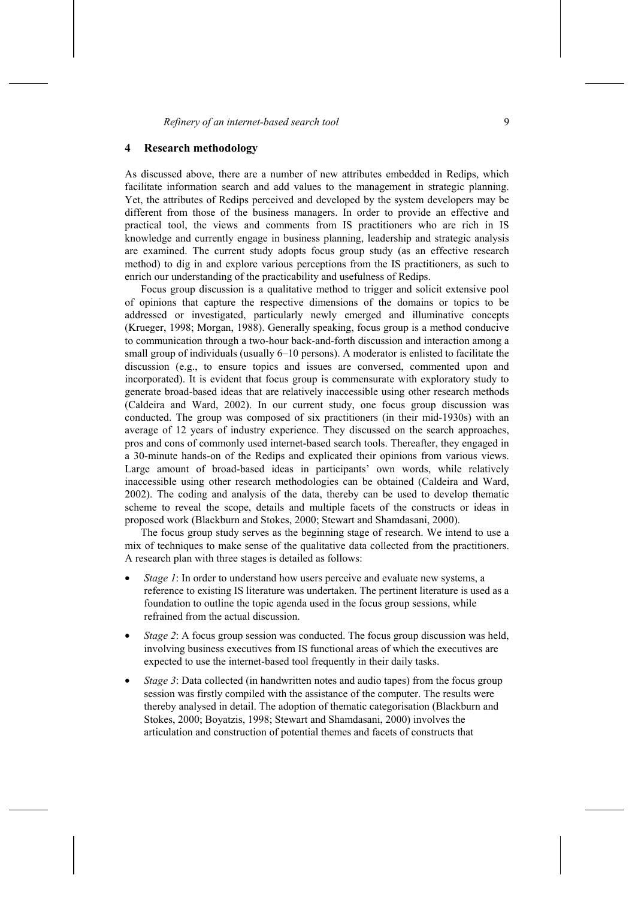## **4 Research methodology**

As discussed above, there are a number of new attributes embedded in Redips, which facilitate information search and add values to the management in strategic planning. Yet, the attributes of Redips perceived and developed by the system developers may be different from those of the business managers. In order to provide an effective and practical tool, the views and comments from IS practitioners who are rich in IS knowledge and currently engage in business planning, leadership and strategic analysis are examined. The current study adopts focus group study (as an effective research method) to dig in and explore various perceptions from the IS practitioners, as such to enrich our understanding of the practicability and usefulness of Redips.

Focus group discussion is a qualitative method to trigger and solicit extensive pool of opinions that capture the respective dimensions of the domains or topics to be addressed or investigated, particularly newly emerged and illuminative concepts (Krueger, 1998; Morgan, 1988). Generally speaking, focus group is a method conducive to communication through a two-hour back-and-forth discussion and interaction among a small group of individuals (usually  $6-10$  persons). A moderator is enlisted to facilitate the discussion (e.g., to ensure topics and issues are conversed, commented upon and incorporated). It is evident that focus group is commensurate with exploratory study to generate broad-based ideas that are relatively inaccessible using other research methods (Caldeira and Ward, 2002). In our current study, one focus group discussion was conducted. The group was composed of six practitioners (in their mid-1930s) with an average of 12 years of industry experience. They discussed on the search approaches, pros and cons of commonly used internet-based search tools. Thereafter, they engaged in a 30-minute hands-on of the Redips and explicated their opinions from various views. Large amount of broad-based ideas in participants' own words, while relatively inaccessible using other research methodologies can be obtained (Caldeira and Ward, 2002). The coding and analysis of the data, thereby can be used to develop thematic scheme to reveal the scope, details and multiple facets of the constructs or ideas in proposed work (Blackburn and Stokes, 2000; Stewart and Shamdasani, 2000).

The focus group study serves as the beginning stage of research. We intend to use a mix of techniques to make sense of the qualitative data collected from the practitioners. A research plan with three stages is detailed as follows:

- *Stage 1*: In order to understand how users perceive and evaluate new systems, a reference to existing IS literature was undertaken. The pertinent literature is used as a foundation to outline the topic agenda used in the focus group sessions, while refrained from the actual discussion.
- *Stage 2*: A focus group session was conducted. The focus group discussion was held, involving business executives from IS functional areas of which the executives are expected to use the internet-based tool frequently in their daily tasks.
- *Stage 3*: Data collected (in handwritten notes and audio tapes) from the focus group session was firstly compiled with the assistance of the computer. The results were thereby analysed in detail. The adoption of thematic categorisation (Blackburn and Stokes, 2000; Boyatzis, 1998; Stewart and Shamdasani, 2000) involves the articulation and construction of potential themes and facets of constructs that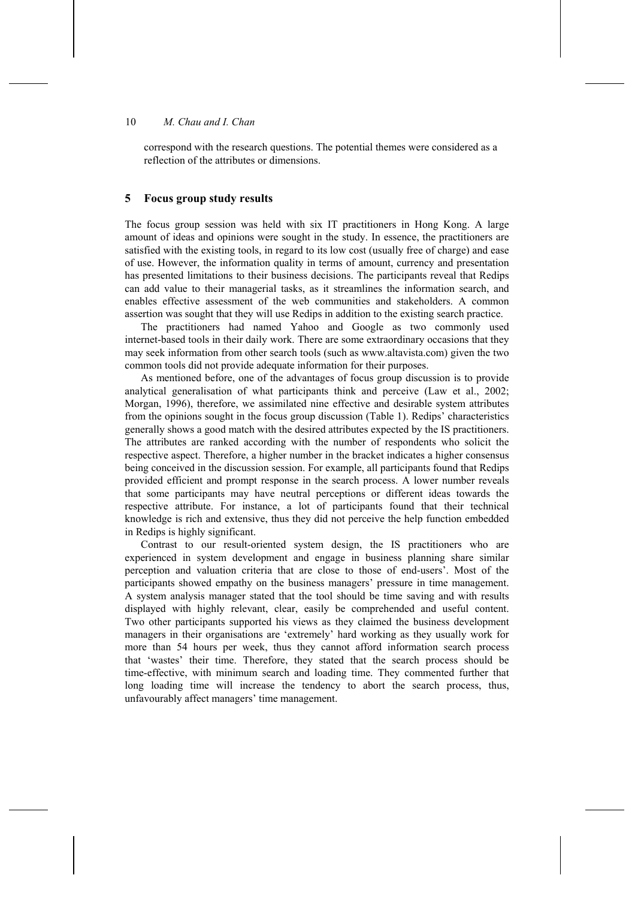correspond with the research questions. The potential themes were considered as a reflection of the attributes or dimensions.

## **5 Focus group study results**

The focus group session was held with six IT practitioners in Hong Kong. A large amount of ideas and opinions were sought in the study. In essence, the practitioners are satisfied with the existing tools, in regard to its low cost (usually free of charge) and ease of use. However, the information quality in terms of amount, currency and presentation has presented limitations to their business decisions. The participants reveal that Redips can add value to their managerial tasks, as it streamlines the information search, and enables effective assessment of the web communities and stakeholders. A common assertion was sought that they will use Redips in addition to the existing search practice.

The practitioners had named Yahoo and Google as two commonly used internet-based tools in their daily work. There are some extraordinary occasions that they may seek information from other search tools (such as www.altavista.com) given the two common tools did not provide adequate information for their purposes.

As mentioned before, one of the advantages of focus group discussion is to provide analytical generalisation of what participants think and perceive (Law et al., 2002; Morgan, 1996), therefore, we assimilated nine effective and desirable system attributes from the opinions sought in the focus group discussion (Table 1). Redips' characteristics generally shows a good match with the desired attributes expected by the IS practitioners. The attributes are ranked according with the number of respondents who solicit the respective aspect. Therefore, a higher number in the bracket indicates a higher consensus being conceived in the discussion session. For example, all participants found that Redips provided efficient and prompt response in the search process. A lower number reveals that some participants may have neutral perceptions or different ideas towards the respective attribute. For instance, a lot of participants found that their technical knowledge is rich and extensive, thus they did not perceive the help function embedded in Redips is highly significant.

Contrast to our result-oriented system design, the IS practitioners who are experienced in system development and engage in business planning share similar perception and valuation criteria that are close to those of end-users'. Most of the participants showed empathy on the business managers' pressure in time management. A system analysis manager stated that the tool should be time saving and with results displayed with highly relevant, clear, easily be comprehended and useful content. Two other participants supported his views as they claimed the business development managers in their organisations are 'extremely' hard working as they usually work for more than 54 hours per week, thus they cannot afford information search process that 'wastes' their time. Therefore, they stated that the search process should be time-effective, with minimum search and loading time. They commented further that long loading time will increase the tendency to abort the search process, thus, unfavourably affect managers' time management.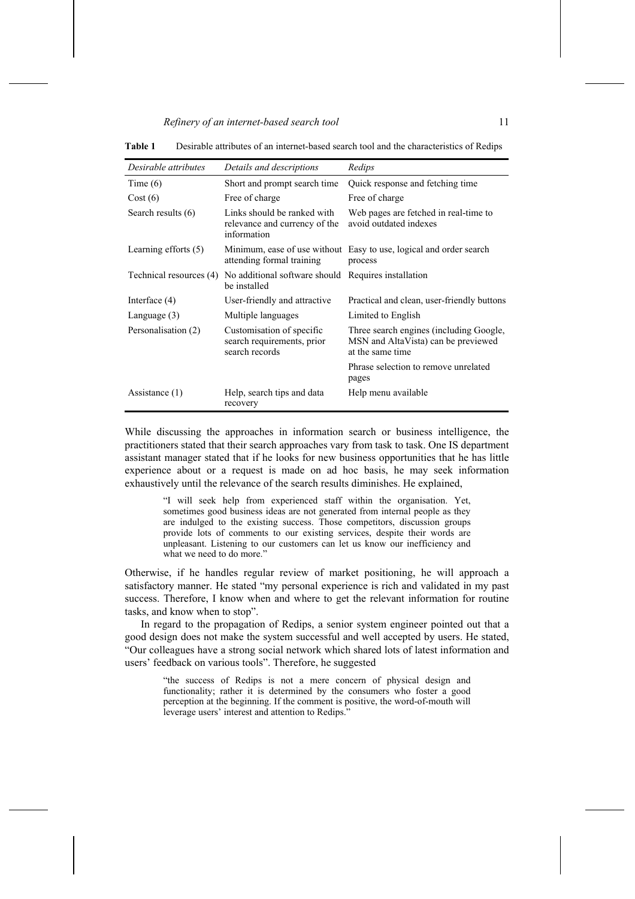| Desirable attributes    | Details and descriptions                                                    | Redips                                                                                             |
|-------------------------|-----------------------------------------------------------------------------|----------------------------------------------------------------------------------------------------|
| Time $(6)$              | Short and prompt search time                                                | Quick response and fetching time                                                                   |
| Cost(6)                 | Free of charge                                                              | Free of charge                                                                                     |
| Search results (6)      | Links should be ranked with<br>relevance and currency of the<br>information | Web pages are fetched in real-time to<br>avoid outdated indexes                                    |
| Learning efforts $(5)$  | attending formal training                                                   | Minimum, ease of use without Easy to use, logical and order search<br>process                      |
| Technical resources (4) | No additional software should Requires installation<br>be installed         |                                                                                                    |
| Interface $(4)$         | User-friendly and attractive                                                | Practical and clean, user-friendly buttons                                                         |
| Language (3)            | Multiple languages                                                          | Limited to English                                                                                 |
| Personalisation (2)     | Customisation of specific<br>search requirements, prior<br>search records   | Three search engines (including Google,<br>MSN and AltaVista) can be previewed<br>at the same time |
|                         |                                                                             | Phrase selection to remove unrelated<br>pages                                                      |
| Assistance (1)          | Help, search tips and data<br>recovery                                      | Help menu available                                                                                |

**Table 1** Desirable attributes of an internet-based search tool and the characteristics of Redips

While discussing the approaches in information search or business intelligence, the practitioners stated that their search approaches vary from task to task. One IS department assistant manager stated that if he looks for new business opportunities that he has little experience about or a request is made on ad hoc basis, he may seek information exhaustively until the relevance of the search results diminishes. He explained,

"I will seek help from experienced staff within the organisation. Yet, sometimes good business ideas are not generated from internal people as they are indulged to the existing success. Those competitors, discussion groups provide lots of comments to our existing services, despite their words are unpleasant. Listening to our customers can let us know our inefficiency and what we need to do more."

Otherwise, if he handles regular review of market positioning, he will approach a satisfactory manner. He stated "my personal experience is rich and validated in my past success. Therefore, I know when and where to get the relevant information for routine tasks, and know when to stop".

In regard to the propagation of Redips, a senior system engineer pointed out that a good design does not make the system successful and well accepted by users. He stated, "Our colleagues have a strong social network which shared lots of latest information and users' feedback on various tools". Therefore, he suggested

"the success of Redips is not a mere concern of physical design and functionality; rather it is determined by the consumers who foster a good perception at the beginning. If the comment is positive, the word-of-mouth will leverage users' interest and attention to Redips."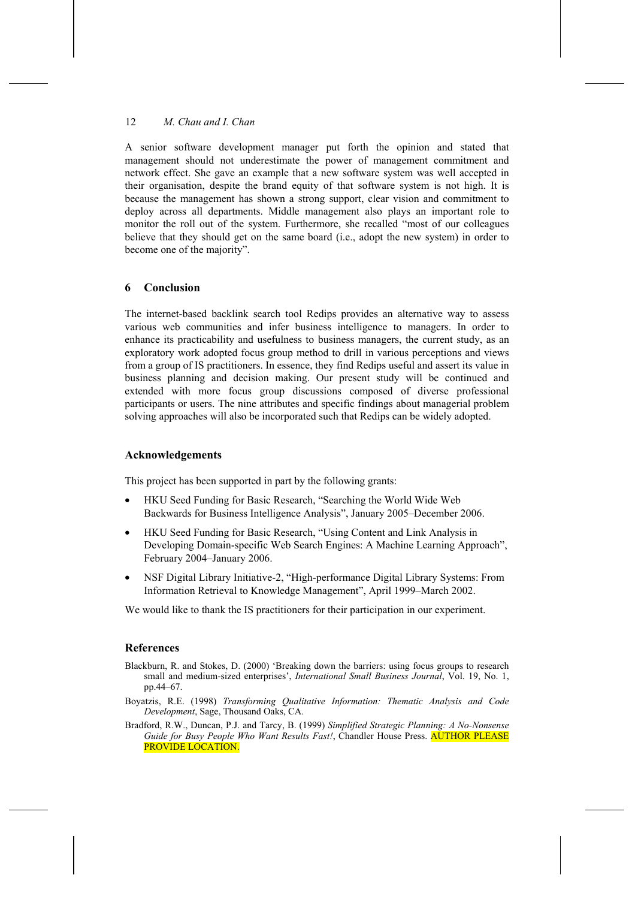A senior software development manager put forth the opinion and stated that management should not underestimate the power of management commitment and network effect. She gave an example that a new software system was well accepted in their organisation, despite the brand equity of that software system is not high. It is because the management has shown a strong support, clear vision and commitment to deploy across all departments. Middle management also plays an important role to monitor the roll out of the system. Furthermore, she recalled "most of our colleagues believe that they should get on the same board (i.e., adopt the new system) in order to become one of the majority".

## **6 Conclusion**

The internet-based backlink search tool Redips provides an alternative way to assess various web communities and infer business intelligence to managers. In order to enhance its practicability and usefulness to business managers, the current study, as an exploratory work adopted focus group method to drill in various perceptions and views from a group of IS practitioners. In essence, they find Redips useful and assert its value in business planning and decision making. Our present study will be continued and extended with more focus group discussions composed of diverse professional participants or users. The nine attributes and specific findings about managerial problem solving approaches will also be incorporated such that Redips can be widely adopted.

#### **Acknowledgements**

This project has been supported in part by the following grants:

- HKU Seed Funding for Basic Research, "Searching the World Wide Web Backwards for Business Intelligence Analysis", January 2005–December 2006.
- HKU Seed Funding for Basic Research, "Using Content and Link Analysis in Developing Domain-specific Web Search Engines: A Machine Learning Approach", February 2004–January 2006.
- NSF Digital Library Initiative-2, "High-performance Digital Library Systems: From Information Retrieval to Knowledge Management", April 1999–March 2002.

We would like to thank the IS practitioners for their participation in our experiment.

## **References**

- Blackburn, R. and Stokes, D. (2000) 'Breaking down the barriers: using focus groups to research small and medium-sized enterprises', *International Small Business Journal*, Vol. 19, No. 1, pp.44–67.
- Boyatzis, R.E. (1998) *Transforming Qualitative Information: Thematic Analysis and Code Development*, Sage, Thousand Oaks, CA.
- Bradford, R.W., Duncan, P.J. and Tarcy, B. (1999) *Simplified Strategic Planning: A No-Nonsense Guide for Busy People Who Want Results Fast!*, Chandler House Press. AUTHOR PLEASE PROVIDE LOCATION.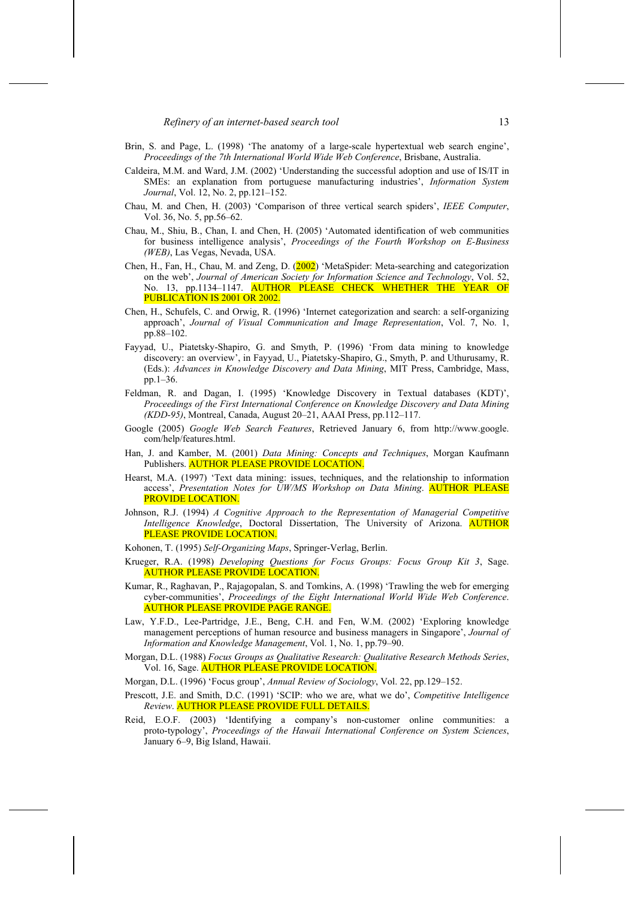- Brin, S. and Page, L. (1998) 'The anatomy of a large-scale hypertextual web search engine', *Proceedings of the 7th International World Wide Web Conference*, Brisbane, Australia.
- Caldeira, M.M. and Ward, J.M. (2002) 'Understanding the successful adoption and use of IS/IT in SMEs: an explanation from portuguese manufacturing industries', *Information System Journal*, Vol. 12, No. 2, pp.121–152.
- Chau, M. and Chen, H. (2003) 'Comparison of three vertical search spiders', *IEEE Computer*, Vol. 36, No. 5, pp.56–62.
- Chau, M., Shiu, B., Chan, I. and Chen, H. (2005) 'Automated identification of web communities for business intelligence analysis', *Proceedings of the Fourth Workshop on E-Business (WEB)*, Las Vegas, Nevada, USA.
- Chen, H., Fan, H., Chau, M. and Zeng, D. (2002) 'MetaSpider: Meta-searching and categorization on the web', *Journal of American Society for Information Science and Technology*, Vol. 52, No. 13, pp.1134–1147. AUTHOR PLEASE CHECK WHETHER THE YEAR OF PUBLICATION IS 2001 OR 2002.
- Chen, H., Schufels, C. and Orwig, R. (1996) 'Internet categorization and search: a self-organizing approach', *Journal of Visual Communication and Image Representation*, Vol. 7, No. 1, pp.88–102.
- Fayyad, U., Piatetsky-Shapiro, G. and Smyth, P. (1996) 'From data mining to knowledge discovery: an overview', in Fayyad, U., Piatetsky-Shapiro, G., Smyth, P. and Uthurusamy, R. (Eds.): *Advances in Knowledge Discovery and Data Mining*, MIT Press, Cambridge, Mass, pp.1–36.
- Feldman, R. and Dagan, I. (1995) 'Knowledge Discovery in Textual databases (KDT)', *Proceedings of the First International Conference on Knowledge Discovery and Data Mining (KDD-95)*, Montreal, Canada, August 20–21, AAAI Press, pp.112–117.
- Google (2005) *Google Web Search Features*, Retrieved January 6, from http://www.google. com/help/features.html.
- Han, J. and Kamber, M. (2001) *Data Mining: Concepts and Techniques*, Morgan Kaufmann Publishers. AUTHOR PLEASE PROVIDE LOCATION.
- Hearst, M.A. (1997) 'Text data mining: issues, techniques, and the relationship to information access', *Presentation Notes for UW/MS Workshop on Data Mining*. AUTHOR PLEASE PROVIDE LOCATION.
- Johnson, R.J. (1994) *A Cognitive Approach to the Representation of Managerial Competitive Intelligence Knowledge*, Doctoral Dissertation, The University of Arizona. AUTHOR PLEASE PROVIDE LOCATION.
- Kohonen, T. (1995) *Self-Organizing Maps*, Springer-Verlag, Berlin.
- Krueger, R.A. (1998) *Developing Questions for Focus Groups: Focus Group Kit 3*, Sage. AUTHOR PLEASE PROVIDE LOCATION.
- Kumar, R., Raghavan, P., Rajagopalan, S. and Tomkins, A. (1998) 'Trawling the web for emerging cyber-communities', *Proceedings of the Eight International World Wide Web Conference*. AUTHOR PLEASE PROVIDE PAGE RANGE.
- Law, Y.F.D., Lee-Partridge, J.E., Beng, C.H. and Fen, W.M. (2002) 'Exploring knowledge management perceptions of human resource and business managers in Singapore', *Journal of Information and Knowledge Management*, Vol. 1, No. 1, pp.79–90.
- Morgan, D.L. (1988) *Focus Groups as Qualitative Research: Qualitative Research Methods Series*, Vol. 16, Sage. AUTHOR PLEASE PROVIDE LOCATION.
- Morgan, D.L. (1996) 'Focus group', *Annual Review of Sociology*, Vol. 22, pp.129–152.
- Prescott, J.E. and Smith, D.C. (1991) 'SCIP: who we are, what we do', *Competitive Intelligence Review*. AUTHOR PLEASE PROVIDE FULL DETAILS.
- Reid, E.O.F. (2003) 'Identifying a company's non-customer online communities: a proto-typology', *Proceedings of the Hawaii International Conference on System Sciences*, January 6–9, Big Island, Hawaii.